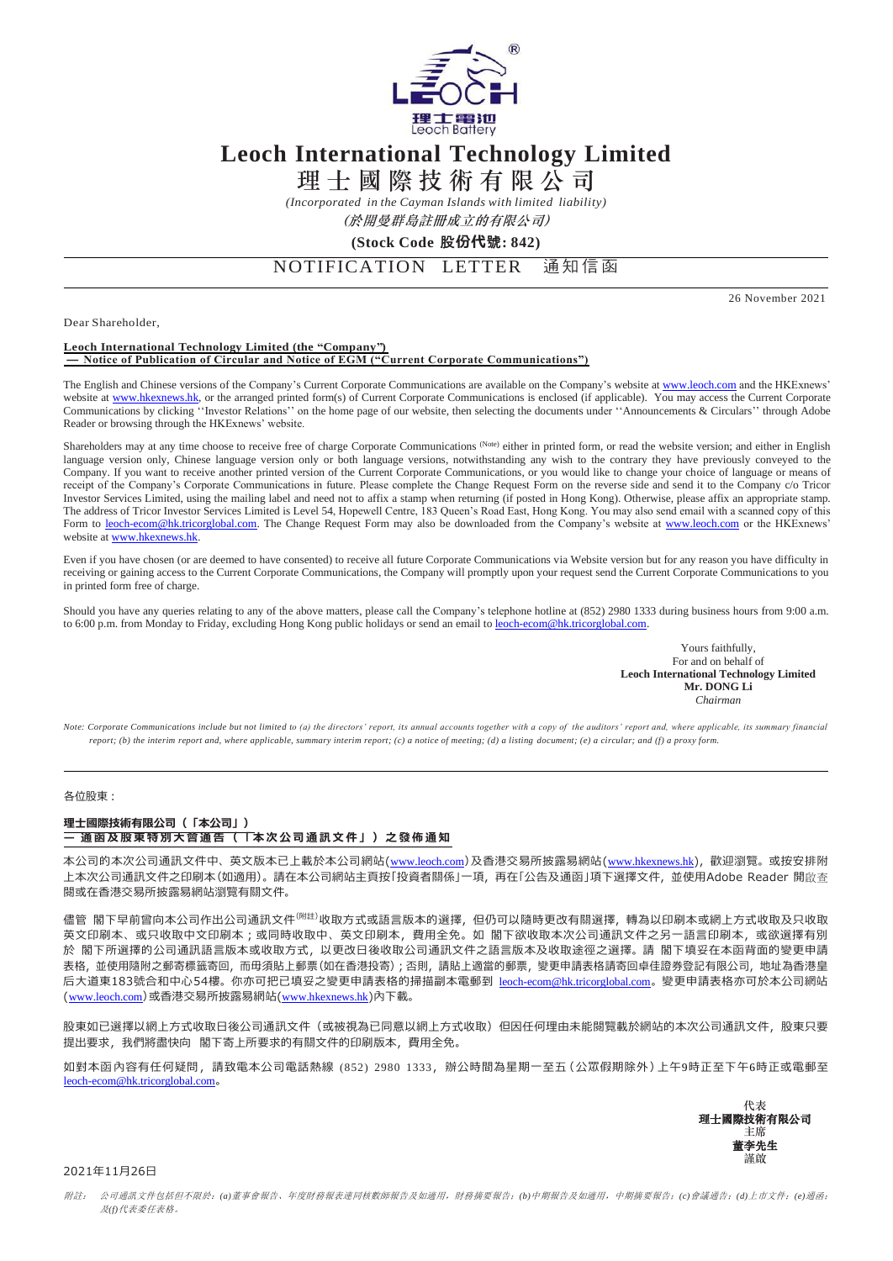

# **Leoch International Technology Limited**

理 士 國 際 技 術 有 限 公 司

*(Incorporated in the Cayman Islands with limited liability)*

(於開曼群島註冊成立的有限公司)

# **(Stock Code** 股**份代**號**: 842)**

NOTIFICATION LETTER 通知信函

26 November 2021

Dear Shareholder,

#### **Leoch International Technology Limited (the "Company") — Notice of Publication of Circular and Notice of EGM ("Current Corporate Communications")**

The English and Chinese versions of the Company's Current Corporate Communications are available on the Company's website at www.leoch.com and the HKExnews' website at [www.hkexnews.hk,](www.hkexnews.hk) or the arranged printed form(s) of Current Corporate Communications is enclosed (if applicable). You may access the Current Corporate Communications by clicking ''Investor Relations'' on the home page of our website, then selecting the documents under ''Announcements & Circulars'' through Adobe Reader or browsing through the HKExnews' website.

Shareholders may at any time choose to receive free of charge Corporate Communications (Note) either in printed form, or read the website version; and either in English language version only, Chinese language version only or both language versions, notwithstanding any wish to the contrary they have previously conveyed to the Company. If you want to receive another printed version of the Current Corporate Communications, or you would like to change your choice of language or means of receipt of the Company's Corporate Communications in future. Please complete the Change Request Form on the reverse side and send it to the Company c/o Tricor Investor Services Limited, using the mailing label and need not to affix a stamp when returning (if posted in Hong Kong). Otherwise, please affix an appropriate stamp. The address of Tricor Investor Services Limited is Level 54, Hopewell Centre, 183 Queen's Road East, Hong Kong. You may also send email with a scanned copy of this Form to [leoch-ecom@hk.tricorglobal.com.](leoch-ecom@hk.tricorglobal.com) The Change Request Form may also be downloaded from the Company's website at www.leoch.com or the HKExnews' website a[t www.hkexnews.hk.](www.hkexnews.hk)

Even if you have chosen (or are deemed to have consented) to receive all future Corporate Communications via Website version but for any reason you have difficulty in receiving or gaining access to the Current Corporate Communications, the Company will promptly upon your request send the Current Corporate Communications to you in printed form free of charge.

Should you have any queries relating to any of the above matters, please call the Company's telephone hotline at  $(852)$  2980 1333 during business hours from 9:00 a.m. to 6:00 p.m. from Monday to Friday, excluding Hong Kong public holidays or send an email to [leoch-ecom@hk.tricorglobal.com.](leoch-ecom@hk.tricorglobal.com)

> Yours faithfully, For and on behalf of **Leoch International Technology Limited Mr. DONG Li** *Chairman*

*Note: Corporate Communications include but not limited to (a) the directors' report, its annual accounts together with a copy of the auditors' report and, where applicable, its summary financial*  report; (b) the interim report and, where applicable, summary interim report; (c) a notice of meeting; (d) a listing document; (e) a circular; and (f) a proxy form.

### 各位股東:

## **理士國際技術有限公司(「本公司」) — 通 函 及 股東 特 別 大會 通 告 (「 本 次 公 司 通訊 文 件 」) 之 發佈 通 知**

本公司的本次公司通訊文件中、英文版本已上載於本公司網站(www.leoch.com)及香港交易所披露易網站(www.hkexnews.hk),歡迎瀏覽。或按安排附 上本次公司通訊文件之印刷本(如適用)。請在本公司網站主頁按「投資者關係」一項,再在「公告及通函」項下選擇文件,並使用Adobe Reader 開啟查 閱或在香港交易所披露易網站瀏覽有關文件。

儘管 閣下早前曾向本公司作出公司通訊文件<sup>(附註)</sup>收取方式或語言版本的選擇, 但仍可以隨時更改有關選擇, 轉為以印刷本或網上方式收取及只收取 英文印刷本、或只收取中文印刷本;或同時收取中、英文印刷本,費用全免。如 閣下欲收取本次公司通訊文件之另一語言印刷本,或欲選擇有別 於 閣下所選擇的公司通訊語言版本或收取方式,以更改日後收取公司通訊文件之語言版本及收取途徑之選擇。請 閣下填妥在本函背面的變更申請 表格,並使用隨附之郵寄標籤寄回,而毋須貼上郵票(如在香港投寄);否則,請貼上適當的郵票,變更申請表格請寄回卓佳證券登記有限公司,地址為香港皇 后大道東183號合和中心54樓。你亦可把已填妥之變更申請表格的掃描副本電郵到 <u>[leoch-ecom@hk.tricorglobal.com](mailto:leoch-ecom@hk.tricorglobal.com)</u>。變更申請表格亦可於本公司網站 ([www.leoch.com](http://www.leoch.com/))或香港交易所披露易網站(www.hkexnews.hk)內下載。

股東如已選擇以網上方式收取日後公司通訊文件(或被視為已同意以網上方式收取)但因任何理由未能閱覽載於網站的本次公司通訊文件,股東只要 提出要求,我們將盡快向 閣下寄上所要求的有關文件的印刷版本,費用全免。

如對本函內容有任何疑問,請致電本公司電話熱線 (852) 2980 1333,辦公時間為星期一至五(公眾假期除外)上午9時正至下午6時正或電郵至 [leoch-ecom@hk.tricorglobal.com](mailto:leoch-ecom@hk.tricorglobal.com)。



#### 2021年11月26日

附註:公司通訊文件包括但不限於:*(a)*董事會報告、年度財務報表連同核數師報告及如適用,財務摘要報告;*(b)*中期報告及如適用,中期摘要報告;*(c)*會議通告;*(d)*上市文件;*(e)*通函; 及*(f)*代表委任表格。